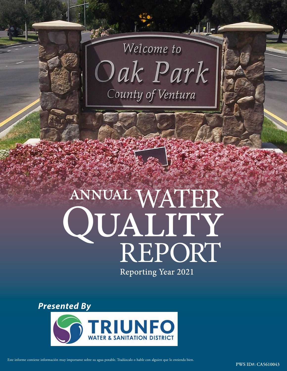

ا ح<u>را مرا</u>لميز

# ANNUAL WATER QUALITY<br>REPORT

**Reporting Year 2021** 

*Presented By* 



Este informe contiene información muy importante sobre su agua potable. Tradúzcalo o hable con alguien que lo entienda bien.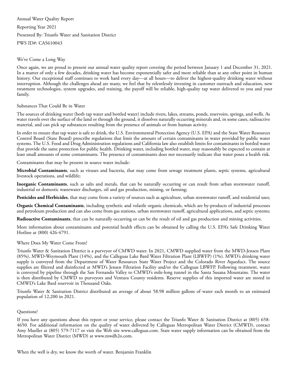Annual Water Quality Report Reporting Year 2021 Presented By: Triunfo Water and Sanitation District PWS ID#: CA5610043

## We've Come a Long Way

Once again, we are proud to present our annual water quality report covering the period between January 1 and December 31, 2021. In a matter of only a few decades, drinking water has become exponentially safer and more reliable than at any other point in human history. Our exceptional staff continues to work hard every day—at all hours—to deliver the highest-quality drinking water without interruption. Although the challenges ahead are many, we feel that by relentlessly investing in customer outreach and education, new treatment technologies, system upgrades, and training, the payoff will be reliable, high-quality tap water delivered to you and your family.

# Substances That Could Be in Water

The sources of drinking water (both tap water and bottled water) include rivers, lakes, streams, ponds, reservoirs, springs, and wells. As water travels over the surface of the land or through the ground, it dissolves naturally occurring minerals and, in some cases, radioactive material, and can pick up substances resulting from the presence of animals or from human activity.

In order to ensure that tap water is safe to drink, the U.S. Environmental Protection Agency (U.S. EPA) and the State Water Resources Control Board (State Board) prescribe regulations that limit the amount of certain contaminants in water provided by public water systems. The U.S. Food and Drug Administration regulations and California law also establish limits for contaminants in bottled water that provide the same protection for public health. Drinking water, including bottled water, may reasonably be expected to contain at least small amounts of some contaminants. The presence of contaminants does not necessarily indicate that water poses a health risk.

Contaminants that may be present in source water include:

**Microbial Contaminants**, such as viruses and bacteria, that may come from sewage treatment plants, septic systems, agricultural livestock operations, and wildlife;

**Inorganic Contaminants**, such as salts and metals, that can be naturally occurring or can result from urban stormwater runoff, industrial or domestic wastewater discharges, oil and gas production, mining, or farming;

**Pesticides and Herbicides**, that may come from a variety of sources such as agriculture, urban stormwater runoff, and residential uses;

**Organic Chemical Contaminants**, including synthetic and volatile organic chemicals, which are by-products of industrial processes and petroleum production and can also come from gas stations, urban stormwater runoff, agricultural applications, and septic systems;

**Radioactive Contaminants**, that can be naturally occurring or can be the result of oil and gas production and mining activities.

More information about contaminants and potential health effects can be obtained by calling the U.S. EPA's Safe Drinking Water Hotline at (800) 426-4791.

# Where Does My Water Come From?

Triunfo Water & Sanitation District is a purveyor of CMWD water. In 2021, CMWD supplied water from the MWD-Jensen Plant (85%), MWD-Weymouth Plant (14%), and the Calleguas Lake Bard Water Filtration Plant (LBWFP) (1%). MWD's drinking water supply is conveyed from the Department of Water Resources State Water Project and the Colorado River Aqueduct. The source supplies are filtered and disinfected at MWD's Jensen Filtration Facility and/or the Calleguas LBWFP. Following treatment, water is conveyed by pipeline through the San Fernando Valley to CMWD's mile-long tunnel in the Santa Susana Mountains. The water is then distributed by CMWD to purveyors and Ventura County residents. Reserve supplies of this imported water are stored in CMWD's Lake Bard reservoir in Thousand Oaks.

Triunfo Water & Sanitation District distributed an average of about 58.98 million gallons of water each month to an estimated population of 12,200 in 2021.

# Questions?

If you have any questions about this report or your service, please contact the Triunfo Water & Sanitation District at (805) 658- 4650. For additional information on the quality of water delivered by Calleguas Metropolitan Water District (CMWD), contact Amy Mueller at (805) 579-7117 or visit the Web site [www.calleguas.com.](http://www.calleguas.com/) State water supply information can be obtained from the Metropolitan Water District (MWD) at [www.mwdh2o.com.](http://www.mwdh2o.com/)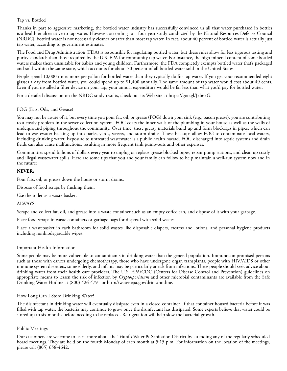# Tap vs. Bottled

Thanks in part to aggressive marketing, the bottled water industry has successfully convinced us all that water purchased in bottles is a healthier alternative to tap water. However, according to a four-year study conducted by the Natural Resources Defense Council (NRDC), bottled water is not necessarily cleaner or safer than most tap water. In fact, about 40 percent of bottled water is actually just tap water, according to government estimates.

The Food and Drug Administration (FDA) is responsible for regulating bottled water, but these rules allow for less rigorous testing and purity standards than those required by the U.S. EPA for community tap water. For instance, the high mineral content of some bottled waters makes them unsuitable for babies and young children. Furthermore, the FDA completely exempts bottled water that's packaged and sold within the same state, which accounts for about 70 percent of all bottled water sold in the United States.

People spend 10,000 times more per gallon for bottled water than they typically do for tap water. If you get your recommended eight glasses a day from bottled water, you could spend up to \$1,400 annually. The same amount of tap water would cost about 49 cents. Even if you installed a filter device on your tap, your annual expenditure would be far less than what you'd pay for bottled water.

For a detailed discussion on the NRDC study results, check out its Web site at [https://goo.gl/Jxb6xG.](https://goo.gl/Jxb6xG)

# FOG (Fats, Oils, and Grease)

You may not be aware of it, but every time you pour fat, oil, or grease (FOG) down your sink (e.g., bacon grease), you are contributing to a costly problem in the sewer collection system. FOG coats the inner walls of the plumbing in your house as well as the walls of underground piping throughout the community. Over time, these greasy materials build up and form blockages in pipes, which can lead to wastewater backing up into parks, yards, streets, and storm drains. These backups allow FOG to contaminate local waters, including drinking water. Exposure to untreated wastewater is a public health hazard. FOG discharged into septic systems and drain fields can also cause malfunctions, resulting in more frequent tank pump-outs and other expenses.

Communities spend billions of dollars every year to unplug or replace grease-blocked pipes, repair pump stations, and clean up costly and illegal wastewater spills. Here are some tips that you and your family can follow to help maintain a well-run system now and in the future:

### **NEVER:**

Pour fats, oil, or grease down the house or storm drains.

Dispose of food scraps by flushing them.

Use the toilet as a waste basket.

### ALWAYS:

Scrape and collect fat, oil, and grease into a waste container such as an empty coffee can, and dispose of it with your garbage.

Place food scraps in waste containers or garbage bags for disposal with solid wastes.

Place a wastebasket in each bathroom for solid wastes like disposable diapers, creams and lotions, and personal hygiene products including nonbiodegradable wipes.

### Important Health Information

Some people may be more vulnerable to contaminants in drinking water than the general population. Immunocompromised persons such as those with cancer undergoing chemotherapy, those who have undergone organ transplants, people with HIV/AIDS or other immune system disorders, some elderly, and infants may be particularly at risk from infections. These people should seek advice about drinking water from their health care providers. The U.S. EPA/CDC (Centers for Disease Control and Prevention) guidelines on appropriate means to lessen the risk of infection by *Cryptosporidium* and other microbial contaminants are available from the Safe Drinking Water Hotline at (800) 426-4791 or <http://water.epa.gov/drink/hotline>.

# How Long Can I Store Drinking Water?

The disinfectant in drinking water will eventually dissipate even in a closed container. If that container housed bacteria before it was filled with tap water, the bacteria may continue to grow once the disinfectant has dissipated. Some experts believe that water could be stored up to six months before needing to be replaced. Refrigeration will help slow the bacterial growth.

# Public Meetings

Our customers are welcome to learn more about the Triunfo Water & Sanitation District by attending any of the regularly scheduled board meetings. They are held on the fourth Monday of each month at 5:15 p.m. For information on the location of the meetings, please call (805) 658-4642.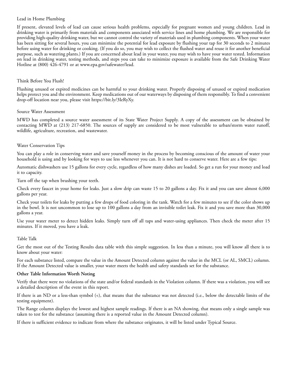### Lead in Home Plumbing

If present, elevated levels of lead can cause serious health problems, especially for pregnant women and young children. Lead in drinking water is primarily from materials and components associated with service lines and home plumbing. We are responsible for providing high-quality drinking water, but we cannot control the variety of materials used in plumbing components. When your water has been sitting for several hours, you can minimize the potential for lead exposure by flushing your tap for 30 seconds to 2 minutes before using water for drinking or cooking. (If you do so, you may wish to collect the flushed water and reuse it for another beneficial purpose, such as watering plants.) If you are concerned about lead in your water, you may wish to have your water tested. Information on lead in drinking water, testing methods, and steps you can take to minimize exposure is available from the Safe Drinking Water Hotline at (800) 426-4791 or at [www.epa.gov/safewater/lead](http://www.epa.gov/safewater/lead).

### Think Before You Flush!

Flushing unused or expired medicines can be harmful to your drinking water. Properly disposing of unused or expired medication helps protect you and the environment. Keep medications out of our waterways by disposing of them responsibly. To find a convenient drop-off location near you, please visit [https://bit.ly/3IeRyXy.](https://bit.ly/3IeRyXy)

### Source Water Assessment

MWD has completed a source water assessment of its State Water Project Supply. A copy of the assessment can be obtained by contacting MWD at (213) 217-6850. The sources of supply are considered to be most vulnerable to urban/storm water runoff, wildlife, agriculture, recreation, and wastewater.

### Water Conservation Tips

You can play a role in conserving water and save yourself money in the process by becoming conscious of the amount of water your household is using and by looking for ways to use less whenever you can. It is not hard to conserve water. Here are a few tips:

Automatic dishwashers use 15 gallons for every cycle, regardless of how many dishes are loaded. So get a run for your money and load it to capacity.

Turn off the tap when brushing your teeth.

Check every faucet in your home for leaks. Just a slow drip can waste 15 to 20 gallons a day. Fix it and you can save almost 6,000 gallons per year.

Check your toilets for leaks by putting a few drops of food coloring in the tank. Watch for a few minutes to see if the color shows up in the bowl. It is not uncommon to lose up to 100 gallons a day from an invisible toilet leak. Fix it and you save more than 30,000 gallons a year.

Use your water meter to detect hidden leaks. Simply turn off all taps and water-using appliances. Then check the meter after 15 minutes. If it moved, you have a leak.

### Table Talk

Get the most out of the Testing Results data table with this simple suggestion. In less than a minute, you will know all there is to know about your water:

For each substance listed, compare the value in the Amount Detected column against the value in the MCL (or AL, SMCL) column. If the Amount Detected value is smaller, your water meets the health and safety standards set for the substance.

### **Other Table Information Worth Noting**

Verify that there were no violations of the state and/or federal standards in the Violation column. If there was a violation, you will see a detailed description of the event in this report.

If there is an ND or a less-than symbol  $\langle \cdot \rangle$ , that means that the substance was not detected (i.e., below the detectable limits of the testing equipment).

The Range column displays the lowest and highest sample readings. If there is an NA showing, that means only a single sample was taken to test for the substance (assuming there is a reported value in the Amount Detected column).

If there is sufficient evidence to indicate from where the substance originates, it will be listed under Typical Source.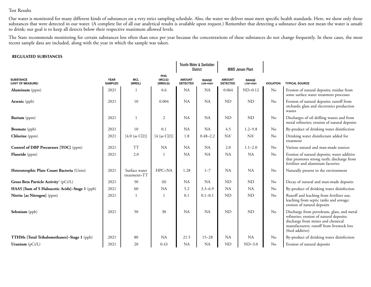# Test Results

Our water is monitored for many different kinds of substances on a very strict sampling schedule. Also, the water we deliver must meet specific health standards. Here, we show only those substances that were detected in our water. (A complete list of all our analytical results is available upon request.) Remember that detecting a substance does not mean the water is unsafe to drink; our goal is to keep all detects below their respective maximum allowed levels.

The State recommends monitoring for certain substances less often than once per year because the concentrations of these substances do not change frequently. In these cases, the most recent sample data are included, along with the year in which the sample was taken.

### **REGULATED SUBSTANCES**

|                                                   |                               |                                   |                          |                                  | Triunfo Water & Sanitation<br><b>District</b> | <b>MWD Jensen Plant</b>          |                          |                  |                                                                                                                                                                                             |  |
|---------------------------------------------------|-------------------------------|-----------------------------------|--------------------------|----------------------------------|-----------------------------------------------|----------------------------------|--------------------------|------------------|---------------------------------------------------------------------------------------------------------------------------------------------------------------------------------------------|--|
| <b>SUBSTANCE</b><br>(UNIT OF MEASURE)             | <b>YEAR</b><br><b>SAMPLED</b> | <b>MCL</b><br>[MRDL]              | PHG<br>(MCLG)<br>[MRDLG] | <b>AMOUNT</b><br><b>DETECTED</b> | <b>RANGE</b><br>LOW-HIGH                      | <b>AMOUNT</b><br><b>DETECTED</b> | <b>RANGE</b><br>LOW-HIGH | <b>VIOLATION</b> | <b>TYPICAL SOURCE</b>                                                                                                                                                                       |  |
| <b>Aluminum</b> (ppm)                             | 2021                          | -1                                | 0.6                      | <b>NA</b>                        | NA                                            | 0.064                            | $ND-0.12$                | $\rm No$         | Erosion of natural deposits; residue from<br>some surface water treatment processes                                                                                                         |  |
| <b>Arsenic</b> (ppb)                              | 2021                          | 10                                | 0.004                    | <b>NA</b>                        | NA                                            | ND                               | <b>ND</b>                | $\rm No$         | Erosion of natural deposits; runoff from<br>orchards; glass and electronics production<br>wastes                                                                                            |  |
| Barium (ppm)                                      | 2021                          |                                   | 2                        | <b>NA</b>                        | <b>NA</b>                                     | ND                               | <b>ND</b>                | No               | Discharges of oil drilling wastes and from<br>metal refineries; erosion of natural deposits                                                                                                 |  |
| <b>Bromate</b> (ppb)                              | 2021                          | 10                                | 0.1                      | <b>NA</b>                        | NA                                            | 4.5                              | $1.2 - 9.8$              | No               | By-product of drinking water disinfection                                                                                                                                                   |  |
| Chlorine (ppm)                                    | 2021                          | [4.0 (as Cl2)]                    | $[4$ (as Cl2)]           | 1.8                              | $0.48 - 2.2$                                  | NA <sup>1</sup>                  | NA <sup>1</sup>          | No               | Drinking water disinfectant added for<br>treatment                                                                                                                                          |  |
| <b>Control of DBP Precursors [TOC]</b> (ppm)      | 2021                          | <b>TT</b>                         | NA                       | NA                               | <b>NA</b>                                     | 2.0                              | $1.1 - 2.0$              | No               | Various natural and man-made sources                                                                                                                                                        |  |
| Fluoride (ppm)                                    | 2021                          | 2.0                               |                          | <b>NA</b>                        | <b>NA</b>                                     | <b>NA</b>                        | <b>NA</b>                | No               | Erosion of natural deposits; water additive<br>that promotes strong teeth; discharge from<br>fertilizer and aluminum factories                                                              |  |
| Heterotrophic Plate Count Bacteria (Units)        | 2021                          | Surface water<br>$treatment = TT$ | HPC=NA                   | 1.28                             | $1 - 7$                                       | <b>NA</b>                        | <b>NA</b>                | No               | Naturally present in the environment                                                                                                                                                        |  |
| Gross Beta Particle Activity <sup>2</sup> (pCi/L) | 2021                          | 50                                | (0)                      | <b>NA</b>                        | NA                                            | ND                               | <b>ND</b>                | No               | Decay of natural and man-made deposits                                                                                                                                                      |  |
| HAA5 [Sum of 5 Haloacetic Acids]-Stage 1 (ppb)    | 2021                          | 60                                | NA                       | 5.2                              | $3.3 - 6.9$                                   | <b>NA</b>                        | <b>NA</b>                | No               | By-product of drinking water disinfection                                                                                                                                                   |  |
| Nitrite [as Nitrogen] (ppm)                       | 2021                          |                                   |                          | 0.1                              | $0.1 - 0.1$                                   | <b>ND</b>                        | <b>ND</b>                | No               | Runoff and leaching from fertilizer use;<br>leaching from septic tanks and sewage;<br>erosion of natural deposits                                                                           |  |
| Selenium (ppb)                                    | 2021                          | 50                                | 30                       | NA                               | <b>NA</b>                                     | ND                               | <b>ND</b>                | $\rm No$         | Discharge from petroleum, glass, and metal<br>refineries; erosion of natural deposits;<br>discharge from mines and chemical<br>manufacturers; runoff from livestock lots<br>(feed additive) |  |
| TTHMs [Total Trihalomethanes]-Stage 1 (ppb)       | 2021                          | 80                                | <b>NA</b>                | 21.5                             | $15 - 28$                                     | <b>NA</b>                        | <b>NA</b>                | No               | By-product of drinking water disinfection                                                                                                                                                   |  |
| Uranium $(pCi/L)$                                 | 2021                          | 20                                | 0.43                     | NA                               | <b>NA</b>                                     | <b>ND</b><br>$ND-3.0$            |                          | No               | Erosion of natural deposits                                                                                                                                                                 |  |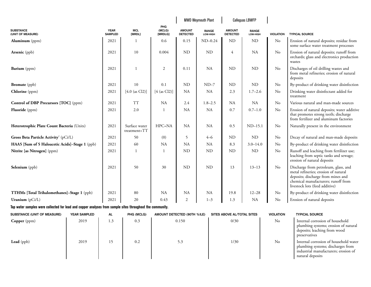|                                                                                                           |                     |                               | <b>MWD Weymouth Plant</b>     |                             |                                  | <b>Calleguas LBWFP</b>   |                                  |                          |                  |                                                                                                                                                                                             |
|-----------------------------------------------------------------------------------------------------------|---------------------|-------------------------------|-------------------------------|-----------------------------|----------------------------------|--------------------------|----------------------------------|--------------------------|------------------|---------------------------------------------------------------------------------------------------------------------------------------------------------------------------------------------|
| <b>SUBSTANCE</b><br>(UNIT OF MEASURE)                                                                     |                     | <b>YEAR</b><br><b>SAMPLED</b> | MCL<br>[MRDL]                 | PHG<br>(MCLG)<br>[MRDLG]    | <b>AMOUNT</b><br><b>DETECTED</b> | <b>RANGE</b><br>LOW-HIGH | <b>AMOUNT</b><br><b>DETECTED</b> | <b>RANGE</b><br>LOW-HIGH | <b>VIOLATION</b> | <b>TYPICAL SOURCE</b>                                                                                                                                                                       |
| Aluminum $(ppm)$                                                                                          |                     | 2021                          | $\mathbf{1}$                  | 0.6                         | 0.15                             | $ND-0.24$                | <b>ND</b>                        | ND                       | $\rm No$         | Erosion of natural deposits; residue from<br>some surface water treatment processes                                                                                                         |
| <b>Arsenic</b> (ppb)                                                                                      |                     | 2021                          | 10                            | 0.004                       | <b>ND</b>                        | <b>ND</b>                | $\overline{4}$                   | NA                       | No               | Erosion of natural deposits; runoff from<br>orchards; glass and electronics production<br>wastes                                                                                            |
| Barium (ppm)                                                                                              |                     | 2021                          | $\mathbf{1}$                  | $\sqrt{2}$                  | 0.11                             | <b>NA</b>                | <b>ND</b>                        | ND                       | No               | Discharges of oil drilling wastes and<br>from metal refineries; erosion of natural<br>deposits                                                                                              |
| <b>Bromate</b> (ppb)                                                                                      |                     | 2021                          | 10                            | 0.1                         | <b>ND</b>                        | $ND-7$                   | <b>ND</b>                        | ND                       | No               | By-product of drinking water disinfection                                                                                                                                                   |
| <b>Chlorine</b> (ppm)                                                                                     |                     | 2021                          | [4.0 (as Cl2)]                | [4 (as Cl2)]                | NA                               | NA                       | 2.3                              | $1.7 - 2.6$              | No               | Drinking water disinfectant added for<br>treatment                                                                                                                                          |
| <b>Control of DBP Precursors [TOC]</b> (ppm)                                                              |                     | 2021                          | <b>TT</b>                     | <b>NA</b>                   | 2.4                              | $1.8 - 2.5$              | NA                               | <b>NA</b>                | No               | Various natural and man-made sources                                                                                                                                                        |
| <b>Fluoride</b> (ppm)                                                                                     |                     | 2021                          | 2.0                           | $\mathbf{1}$                | <b>NA</b>                        | NA                       | 0.7                              | $0.7 - 1.0$              | No               | Erosion of natural deposits; water additive<br>that promotes strong teeth; discharge<br>from fertilizer and aluminum factories                                                              |
| Heterotrophic Plate Count Bacteria (Units)                                                                |                     | 2021                          | Surface water<br>treatment=TT | HPC=NA                      | NA                               | <b>NA</b>                | 0.5                              | $ND-15.1$                | $\rm No$         | Naturally present in the environment                                                                                                                                                        |
| Gross Beta Particle Activity <sup>2</sup> (pCi/L)                                                         |                     | 2021                          | 50                            | (0)                         | 5                                | $4 - 6$                  | <b>ND</b>                        | <b>ND</b>                | $\rm No$         | Decay of natural and man-made deposits                                                                                                                                                      |
| HAA5 [Sum of 5 Haloacetic Acids]-Stage 1 (ppb)                                                            |                     | 2021                          | 60                            | NA                          | NA                               | NA                       | 8.3                              | $3.0 - 14.0$             | No               | By-product of drinking water disinfection                                                                                                                                                   |
| Nitrite [as Nitrogen] (ppm)                                                                               |                     | 2021                          | 1                             | 1                           | <b>ND</b>                        | ND                       | <b>ND</b>                        | <b>ND</b>                | No               | Runoff and leaching from fertilizer use;<br>leaching from septic tanks and sewage;<br>erosion of natural deposits                                                                           |
| <b>Selenium</b> (ppb)                                                                                     |                     | 2021                          | 50                            | 30                          | <b>ND</b>                        | <b>ND</b>                | 13                               | $13 - 13$                | No               | Discharge from petroleum, glass, and<br>metal refineries; erosion of natural<br>deposits; discharge from mines and<br>chemical manufacturers; runoff from<br>livestock lots (feed additive) |
| <b>TTHMs</b> [Total Trihalomethanes]-Stage 1 (ppb)                                                        |                     | 2021                          | 80                            | NA                          | NA                               | <b>NA</b>                | 19.8                             | $12 - 28$                | No               | By-product of drinking water disinfection                                                                                                                                                   |
| Uranium (pCi/L)                                                                                           |                     | 2021                          | 20                            | 0.43                        | $\overline{2}$                   | $1 - 3$                  | 1.3                              | NA                       | No               | Erosion of natural deposits                                                                                                                                                                 |
| Tap water samples were collected for lead and copper analyses from sample sites throughout the community. |                     |                               |                               |                             |                                  |                          |                                  |                          |                  |                                                                                                                                                                                             |
| SUBSTANCE (UNIT OF MEASURE)                                                                               | <b>YEAR SAMPLED</b> | AL                            | PHG (MCLG)                    | AMOUNT DETECTED (90TH %ILE) |                                  |                          | SITES ABOVE AL/TOTAL SITES       |                          | <b>VIOLATION</b> | <b>TYPICAL SOURCE</b>                                                                                                                                                                       |
| <b>Copper</b> (ppm)                                                                                       | 2019                | 1.3                           | 0.3                           |                             | 0.150                            |                          | 0/30                             |                          | No               | Internal corrosion of household<br>plumbing systems; erosion of natural<br>deposits; leaching from wood<br>preservatives                                                                    |
| Lead (ppb)                                                                                                | 2019                | 15                            | 0.2                           |                             | 5.3                              |                          | 1/30                             |                          | N <sub>o</sub>   | Internal corrosion of household water<br>plumbing systems; discharges from<br>industrial manufacturers; erosion of<br>natural deposits                                                      |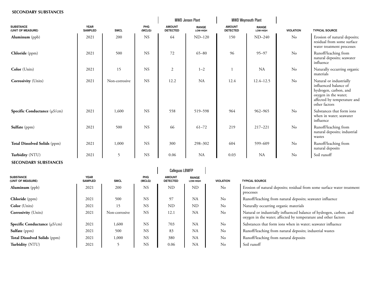### **SECONDARY SUBSTANCES**

|                                       |                               |                |               | <b>MWD Jensen Plant</b>          |                          | <b>MWD Weymouth Plant</b>        |                          |                  |                                                                                                                                                   |
|---------------------------------------|-------------------------------|----------------|---------------|----------------------------------|--------------------------|----------------------------------|--------------------------|------------------|---------------------------------------------------------------------------------------------------------------------------------------------------|
| <b>SUBSTANCE</b><br>(UNIT OF MEASURE) | <b>YEAR</b><br><b>SAMPLED</b> | <b>SMCL</b>    | PHG<br>(MCLG) | <b>AMOUNT</b><br><b>DETECTED</b> | <b>RANGE</b><br>LOW-HIGH | <b>AMOUNT</b><br><b>DETECTED</b> | <b>RANGE</b><br>LOW-HIGH | <b>VIOLATION</b> | <b>TYPICAL SOURCE</b>                                                                                                                             |
| <b>Aluminum</b> (ppb)                 | 2021                          | 200            | <b>NS</b>     | 64                               | $ND-120$                 | 150                              | $ND-240$                 | $\rm No$         | Erosion of natural deposits;<br>residual from some surface<br>water treatment processes                                                           |
| Chloride (ppm)                        | 2021                          | 500            | <b>NS</b>     | $72\,$                           | $65 - 80$                | 96                               | $95 - 97$                | No               | Runoff/leaching from<br>natural deposits; seawater<br>influence                                                                                   |
| Color (Units)                         | 2021                          | 15             | <b>NS</b>     | $\boldsymbol{2}$                 | $1 - 2$                  |                                  | <b>NA</b>                | No               | Naturally occurring organic<br>materials                                                                                                          |
| <b>Corrosivity</b> (Units)            | 2021                          | Non-corrosive  | <b>NS</b>     | 12.2                             | NA                       | 12.4                             | $12.4 - 12.5$            | No               | Natural or industrially<br>influenced balance of<br>hydrogen, carbon, and<br>oxygen in the water;<br>affected by temperature and<br>other factors |
| Specific Conductance $(\mu S/cm)$     | 2021                          | 1,600          | <b>NS</b>     | 558                              | 519-598                  | 964                              | 962-965                  | No               | Substances that form ions<br>when in water; seawater<br>influence                                                                                 |
| Sulfate (ppm)                         | 2021                          | 500            | <b>NS</b>     | 66                               | $61 - 72$                | 219                              | $217 - 221$              | No               | Runoff/leaching from<br>natural deposits; industrial<br>wastes                                                                                    |
| Total Dissolved Solids (ppm)          | 2021                          | 1,000          | <b>NS</b>     | 300                              | 298-302                  | 604                              | 599-609                  | No               | Runoff/leaching from<br>natural deposits                                                                                                          |
| Turbidity (NTU)                       | 2021                          | $\overline{5}$ | <b>NS</b>     | 0.06                             | <b>NA</b>                | 0.03                             | <b>NA</b>                | No               | Soil runoff                                                                                                                                       |
| <b>SECONDARY SUBSTANCES</b>           |                               |                |               |                                  |                          |                                  |                          |                  |                                                                                                                                                   |

|                                       |                               |               |                      | <b>Calleguas LBWFP</b>           |                          |                  |                                                                                                                                       |
|---------------------------------------|-------------------------------|---------------|----------------------|----------------------------------|--------------------------|------------------|---------------------------------------------------------------------------------------------------------------------------------------|
| <b>SUBSTANCE</b><br>(UNIT OF MEASURE) | <b>YEAR</b><br><b>SAMPLED</b> | <b>SMCL</b>   | <b>PHG</b><br>(MCLG) | <b>AMOUNT</b><br><b>DETECTED</b> | <b>RANGE</b><br>LOW-HIGH | <b>VIOLATION</b> | <b>TYPICAL SOURCE</b>                                                                                                                 |
| $\textbf{Aluminum}$ (ppb)             | 2021                          | 200           | <b>NS</b>            | ND                               | ND.                      | N <sub>0</sub>   | Erosion of natural deposits; residual from some surface water treatment<br>processes                                                  |
| <b>Chloride</b> (ppm)                 | 2021                          | 500           | <b>NS</b>            | 97                               | NA                       | No               | Runoff/leaching from natural deposits; seawater influence                                                                             |
| Color (Units)                         | 2021                          | 15            | <b>NS</b>            | <b>ND</b>                        | ND.                      | $\rm No$         | Naturally occurring organic materials                                                                                                 |
| <b>Corrosivity</b> (Units)            | 2021                          | Non-corrosive | <b>NS</b>            | 12.1                             | NA                       | No               | Natural or industrially influenced balance of hydrogen, carbon, and<br>oxygen in the water; affected by temperature and other factors |
| Specific Conductance $(\mu S/cm)$     | 2021                          | 1,600         | <b>NS</b>            | 703                              | NA                       | No               | Substances that form ions when in water; seawater influence                                                                           |
| Sulfate (ppm)                         | 2021                          | 500           | <b>NS</b>            | 83                               | NA                       | N <sub>o</sub>   | Runoff/leaching from natural deposits; industrial wastes                                                                              |
| Total Dissolved Solids (ppm)          | 2021                          | 1,000         | <b>NS</b>            | 380                              | NA                       | No               | Runoff/leaching from natural deposits                                                                                                 |
| Turbidity (NTU)                       | 2021                          |               | <b>NS</b>            | 0.06                             | <b>NA</b>                | No               | Soil runoff                                                                                                                           |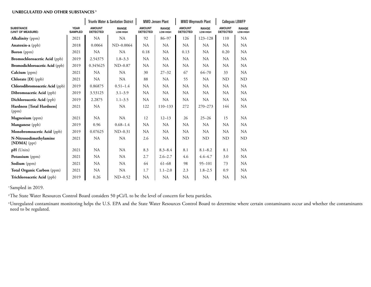### **UNREGULATED AND OTHER SUBSTANCES <sup>3</sup>**

|                                          |                               |                                  | <b>Triunfo Water &amp; Sanitation District</b> |                                  | <b>MWD Jensen Plant</b>  | <b>MWD Weymouth Plant</b>        |                          | <b>Calleguas LBWFP</b>           |                          |
|------------------------------------------|-------------------------------|----------------------------------|------------------------------------------------|----------------------------------|--------------------------|----------------------------------|--------------------------|----------------------------------|--------------------------|
| <b>SUBSTANCE</b><br>(UNIT OF MEASURE)    | <b>YEAR</b><br><b>SAMPLED</b> | <b>AMOUNT</b><br><b>DETECTED</b> | <b>RANGE</b><br>LOW-HIGH                       | <b>AMOUNT</b><br><b>DETECTED</b> | <b>RANGE</b><br>LOW-HIGH | <b>AMOUNT</b><br><b>DETECTED</b> | <b>RANGE</b><br>LOW-HIGH | <b>AMOUNT</b><br><b>DETECTED</b> | <b>RANGE</b><br>LOW-HIGH |
| <b>Alkalinity</b> (ppm)                  | 2021                          | <b>NA</b>                        | NA                                             | 92                               | 86-97                    | 126                              | $123 - 128$              | 110                              | <b>NA</b>                |
| Anatoxin-a (ppb)                         | 2018                          | 0.0064                           | $ND-0.0064$                                    | NA                               | <b>NA</b>                | <b>NA</b>                        | NA                       | NA                               | NA                       |
| Boron (ppm)                              | 2021                          | <b>NA</b>                        | <b>NA</b>                                      | 0.18                             | <b>NA</b>                | 0.13                             | NA                       | 0.20                             | <b>NA</b>                |
| <b>Bromochloroacetic Acid</b> (ppb)      | 2019                          | 2.54375                          | $1.8 - 3.3$                                    | <b>NA</b>                        | <b>NA</b>                | <b>NA</b>                        | <b>NA</b>                | NA                               | NA                       |
| <b>Bromodichloroacetic Acid</b> (ppb)    | 2019                          | 0.345625                         | $ND-0.87$                                      | NA                               | <b>NA</b>                | NA.                              | NA                       | <b>NA</b>                        | NA                       |
| Calcium (ppm)                            | 2021                          | NA                               | NA                                             | 30                               | $27 - 32$                | 67                               | $64 - 70$                | 33                               | NA.                      |
| Chlorate [D] (ppb)                       | 2021                          | <b>NA</b>                        | NA                                             | 88                               | <b>NA</b>                | 55                               | <b>NA</b>                | ND                               | ND                       |
| Chlorodibromoacetic Acid (ppb)           | 2019                          | 0.86875                          | $0.51 - 1.4$                                   | <b>NA</b>                        | <b>NA</b>                | <b>NA</b>                        | NA                       | <b>NA</b>                        | NA.                      |
| Dibromoacetic Acid (ppb)                 | 2019                          | 3.53125                          | $3.1 - 3.9$                                    | NA                               | <b>NA</b>                | <b>NA</b>                        | <b>NA</b>                | NA.                              | NA.                      |
| Dichloroacetic Acid (ppb)                | 2019                          | 2.2875                           | $1.1 - 3.5$                                    | <b>NA</b>                        | NA                       | NA                               | NA                       | NA.                              | NA.                      |
| Hardness [Total Hardness]<br>(ppm)       | 2021                          | <b>NA</b>                        | <b>NA</b>                                      | 122                              | $110 - 133$              | 272                              | 270-273                  | 144                              | NA.                      |
| Magnesium (ppm)                          | 2021                          | <b>NA</b>                        | NA                                             | 12                               | $12 - 13$                | 26                               | $25 - 26$                | 15                               | NA                       |
| Manganese (ppb)                          | 2019                          | 0.96                             | $0.68 - 1.4$                                   | <b>NA</b>                        | <b>NA</b>                | NA                               | NA                       | NA                               | NA                       |
| Monobromoacetic Acid (ppb)               | 2019                          | 0.07625                          | $ND-0.31$                                      | NA                               | NA                       | <b>NA</b>                        | NA.                      | NA.                              | NA.                      |
| N-Nitrosodimethylamine<br>$[NDMA]$ (ppt) | 2021                          | <b>NA</b>                        | NA                                             | 2.6                              | <b>NA</b>                | ND                               | ND                       | ND                               | ND                       |
| pH (Units)                               | 2021                          | <b>NA</b>                        | NA                                             | 8.3                              | $8.3 - 8.4$              | 8.1                              | $8.1 - 8.2$              | 8.1                              | NA.                      |
| Potassium (ppm)                          | 2021                          | <b>NA</b>                        | NA                                             | 2.7                              | $2.6 - 2.7$              | 4.6                              | $4.4 - 4.7$              | 3.0                              | NA.                      |
| Sodium (ppm)                             | 2021                          | <b>NA</b>                        | NA.                                            | 64                               | $61 - 68$                | 98                               | $95 - 101$               | 73                               | NA.                      |
| Total Organic Carbon (ppm)               | 2021                          | <b>NA</b>                        | NA                                             | 1.7                              | $1.1 - 2.0$              | 2.3                              | $1.8 - 2.5$              | 0.9                              | <b>NA</b>                |
| Trichloroacetic Acid (ppb)               | 2019                          | 0.26                             | $ND-0.52$                                      | <b>NA</b>                        | <b>NA</b>                | NA                               | NA                       | NA                               | <b>NA</b>                |

<sup>1</sup>Sampled in 2019.

<sup>2</sup>The State Water Resources Control Board considers 50 pCi/L to be the level of concern for beta particles.

<sup>3</sup>Unregulated contaminant monitoring helps the U.S. EPA and the State Water Resources Control Board to determine where certain contaminants occur and whether the contaminants need to be regulated.